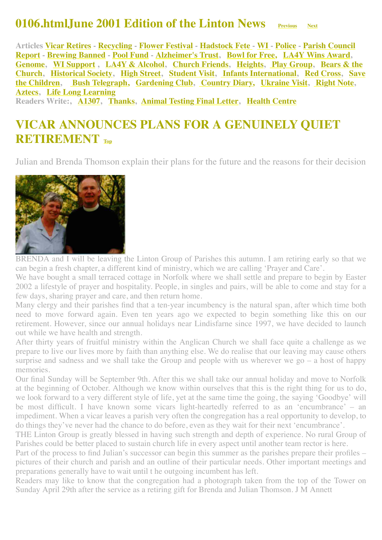#### **0106.htmlJune 2001 Edition of the Linton News [Previous](http://www.linton.info/lintonnews/0105.html) [Next](http://www.linton.info/lintonnews/0107.html)**

<span id="page-0-1"></span>**Articles [Vicar Retires](#page-0-0) - [Recycling](#page-1-0) - [Flower Festival](#page-1-1) - [Hadstock Fete](#page-1-2) - [WI -](#page-1-3) [Police](#page-1-4) - Parish Council [Report - Brewing Banned - Pool Fund - Alzheimer's Trust, Bowl for Free, LA4Y Wins Award,](#page-2-0)  [Genome](#page-4-2)[, W](#page-8-0)[I Support](#page-4-3) [, L](#page-8-0)[A4Y & Alcohol](#page-6-0)[,](#page-8-0) [Church Friend](#page-7-0)[s,](#page-8-0) [Heights](#page-7-1)[,](#page-8-0) [Play Grou](#page-7-2)[p, Bears & the](#page-8-0) [Church, Historical Society, High Street, Student Visit, Infants International, Red Cross, Save](#page-11-0) the Children, [Bush Telegraph,](#page-11-1) [Gardening Club,](#page-11-2) [Country Diary,](#page-12-0) [Ukraine Visit,](#page-11-3) [Right Note,](#page-12-1) [Aztecs,](#page-13-0) [Life Long Learning](#page-13-0) Readers Write:, [A1307](http://www.linton.info/lintonnews/0106.html#A1307:%20LET%E2%80%99S%20M), [Thanks](#page-5-0), [Animal Testing Final Letter,](#page-5-1) [Health Centre](#page-6-1)**

<span id="page-0-0"></span>**VICAR ANNOUNCES PLANS FOR A GENUINELY QUIET RETIREMENT [Top](#page-0-1)**

Julian and Brenda Thomson explain their plans for the future and the reasons for their decision



BRENDA and I will be leaving the Linton Group of Parishes this autumn. I am retiring early so that we can begin a fresh chapter, a different kind of ministry, which we are calling 'Prayer and Care'.

We have bought a small terraced cottage in Norfolk where we shall settle and prepare to begin by Easter 2002 a lifestyle of prayer and hospitality. People, in singles and pairs, will be able to come and stay for a few days, sharing prayer and care, and then return home.

Many clergy and their parishes find that a ten-year incumbency is the natural span, after which time both need to move forward again. Even ten years ago we expected to begin something like this on our retirement. However, since our annual holidays near Lindisfarne since 1997, we have decided to launch out while we have health and strength.

After thirty years of fruitful ministry within the Anglican Church we shall face quite a challenge as we prepare to live our lives more by faith than anything else. We do realise that our leaving may cause others surprise and sadness and we shall take the Group and people with us wherever we go – a host of happy memories.

Our final Sunday will be September 9th. After this we shall take our annual holiday and move to Norfolk at the beginning of October. Although we know within ourselves that this is the right thing for us to do, we look forward to a very different style of life, yet at the same time the going, the saying 'Goodbye' will be most difficult. I have known some vicars light-heartedly referred to as an 'encumbrance' – an impediment. When a vicar leaves a parish very often the congregation has a real opportunity to develop, to do things they've never had the chance to do before, even as they wait for their next 'encumbrance'.

THE Linton Group is greatly blessed in having such strength and depth of experience. No rural Group of Parishes could be better placed to sustain church life in every aspect until another team rector is here.

Part of the process to find Julian's successor can begin this summer as the parishes prepare their profiles – pictures of their church and parish and an outline of their particular needs. Other important meetings and preparations generally have to wait until t he outgoing incumbent has left.

Readers may like to know that the congregation had a photograph taken from the top of the Tower on Sunday April 29th after the service as a retiring gift for Brenda and Julian Thomson. J M Annett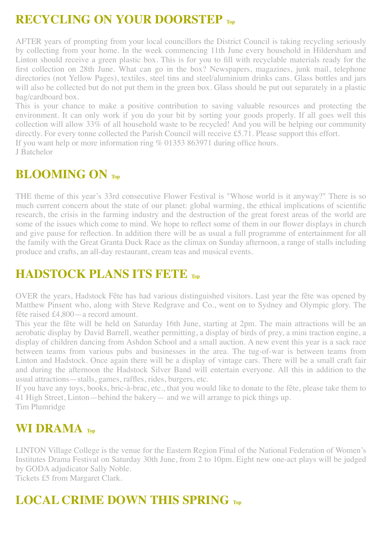## <span id="page-1-0"></span>**RECYCLING ON YOUR DOORSTEP [Top](#page-0-1)**

AFTER years of prompting from your local councillors the District Council is taking recycling seriously by collecting from your home. In the week commencing 11th June every household in Hildersham and Linton should receive a green plastic box. This is for you to fill with recyclable materials ready for the first collection on 28th June. What can go in the box? Newspapers, magazines, junk mail, telephone directories (not Yellow Pages), textiles, steel tins and steel/aluminium drinks cans. Glass bottles and jars will also be collected but do not put them in the green box. Glass should be put out separately in a plastic bag/cardboard box.

This is your chance to make a positive contribution to saving valuable resources and protecting the environment. It can only work if you do your bit by sorting your goods properly. If all goes well this collection will allow 33% of all household waste to be recycled! And you will be helping our community directly. For every tonne collected the Parish Council will receive £5.71. Please support this effort.

If you want help or more information ring % 01353 863971 during office hours.

J Batchelor

#### <span id="page-1-1"></span>**BLOOMING ON [Top](#page-0-1)**

THE theme of this year's 33rd consecutive Flower Festival is "Whose world is it anyway?" There is so much current concern about the state of our planet: global warming, the ethical implications of scientific research, the crisis in the farming industry and the destruction of the great forest areas of the world are some of the issues which come to mind. We hope to reflect some of them in our flower displays in church and give pause for reflection. In addition there will be as usual a full programme of entertainment for all the family with the Great Granta Duck Race as the climax on Sunday afternoon, a range of stalls including produce and crafts, an all-day restaurant, cream teas and musical events.

## <span id="page-1-2"></span>**HADSTOCK PLANS ITS FETE [Top](#page-0-1)**

OVER the years, Hadstock Fête has had various distinguished visitors. Last year the fête was opened by Matthew Pinsent who, along with Steve Redgrave and Co., went on to Sydney and Olympic glory. The fête raised £4,800—a record amount.

This year the fête will be held on Saturday 16th June, starting at 2pm. The main attractions will be an aerobatic display by David Barrell, weather permitting, a display of birds of prey, a mini traction engine, a display of children dancing from Ashdon School and a small auction. A new event this year is a sack race between teams from various pubs and businesses in the area. The tug-of-war is between teams from Linton and Hadstock. Once again there will be a display of vintage cars. There will be a small craft fair and during the afternoon the Hadstock Silver Band will entertain everyone. All this in addition to the usual attractions—stalls, games, raffles, rides, burgers, etc.

If you have any toys, books, bric-à-brac, etc., that you would like to donate to the fête, please take them to 41 High Street, Linton—behind the bakery— and we will arrange to pick things up. Tim Plumridge

### <span id="page-1-3"></span>**WI DRAMA [Top](#page-0-1)**

LINTON Village College is the venue for the Eastern Region Final of the National Federation of Women's Institutes Drama Festival on Saturday 30th June, from 2 to 10pm. Eight new one-act plays will be judged by GODA adjudicator Sally Noble.

Tickets £5 from Margaret Clark.

# <span id="page-1-4"></span>**LOCAL CRIME DOWN THIS SPRING [Top](#page-0-1)**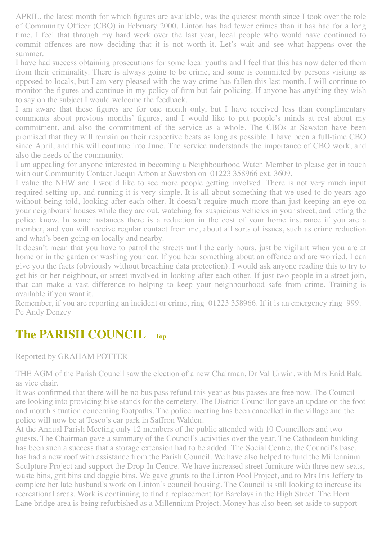APRIL, the latest month for which figures are available, was the quietest month since I took over the role of Community Officer (CBO) in February 2000. Linton has had fewer crimes than it has had for a long time. I feel that through my hard work over the last year, local people who would have continued to commit offences are now deciding that it is not worth it. Let's wait and see what happens over the summer.

I have had success obtaining prosecutions for some local youths and I feel that this has now deterred them from their criminality. There is always going to be crime, and some is committed by persons visiting as opposed to locals, but I am very pleased with the way crime has fallen this last month. I will continue to monitor the figures and continue in my policy of firm but fair policing. If anyone has anything they wish to say on the subject I would welcome the feedback.

I am aware that these figures are for one month only, but I have received less than complimentary comments about previous months' figures, and I would like to put people's minds at rest about my commitment, and also the commitment of the service as a whole. The CBOs at Sawston have been promised that they will remain on their respective beats as long as possible. I have been a full-time CBO since April, and this will continue into June. The service understands the importance of CBO work, and also the needs of the community.

I am appealing for anyone interested in becoming a Neighbourhood Watch Member to please get in touch with our Community Contact Jacqui Arbon at Sawston on 01223 358966 ext. 3609.

I value the NHW and I would like to see more people getting involved. There is not very much input required setting up, and running it is very simple. It is all about something that we used to do years ago without being told, looking after each other. It doesn't require much more than just keeping an eye on your neighbours' houses while they are out, watching for suspicious vehicles in your street, and letting the police know. In some instances there is a reduction in the cost of your home insurance if you are a member, and you will receive regular contact from me, about all sorts of issues, such as crime reduction and what's been going on locally and nearby.

It doesn't mean that you have to patrol the streets until the early hours, just be vigilant when you are at home or in the garden or washing your car. If you hear something about an offence and are worried, I can give you the facts (obviously without breaching data protection). I would ask anyone reading this to try to get his or her neighbour, or street involved in looking after each other. If just two people in a street join, that can make a vast difference to helping to keep your neighbourhood safe from crime. Training is available if you want it.

Remember, if you are reporting an incident or crime, ring 01223 358966. If it is an emergency ring 999. Pc Andy Denzey

### <span id="page-2-0"></span>**The PARISH COUNCIL [Top](#page-0-1)**

Reported by GRAHAM POTTER

THE AGM of the Parish Council saw the election of a new Chairman, Dr Val Urwin, with Mrs Enid Bald as vice chair.

It was confirmed that there will be no bus pass refund this year as bus passes are free now. The Council are looking into providing bike stands for the cemetery. The District Councillor gave an update on the foot and mouth situation concerning footpaths. The police meeting has been cancelled in the village and the police will now be at Tesco's car park in Saffron Walden.

At the Annual Parish Meeting only 12 members of the public attended with 10 Councillors and two guests. The Chairman gave a summary of the Council's activities over the year. The Cathodeon building has been such a success that a storage extension had to be added. The Social Centre, the Council's base, has had a new roof with assistance from the Parish Council. We have also helped to fund the Millennium Sculpture Project and support the Drop-In Centre. We have increased street furniture with three new seats, waste bins, grit bins and doggie bins. We gave grants to the Linton Pool Project, and to Mrs Iris Jeffery to complete her late husband's work on Linton's council housing. The Council is still looking to increase its recreational areas. Work is continuing to find a replacement for Barclays in the High Street. The Horn Lane bridge area is being refurbished as a Millennium Project. Money has also been set aside to support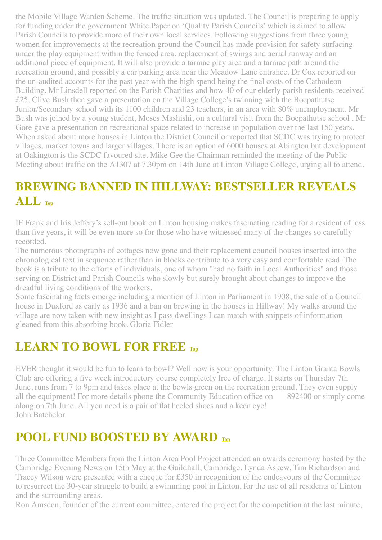the Mobile Village Warden Scheme. The traffic situation was updated. The Council is preparing to apply for funding under the government White Paper on 'Quality Parish Councils' which is aimed to allow Parish Councils to provide more of their own local services. Following suggestions from three young women for improvements at the recreation ground the Council has made provision for safety surfacing under the play equipment within the fenced area, replacement of swings and aerial runway and an additional piece of equipment. It will also provide a tarmac play area and a tarmac path around the recreation ground, and possibly a car parking area near the Meadow Lane entrance. Dr Cox reported on the un-audited accounts for the past year with the high spend being the final costs of the Cathodeon Building. Mr Linsdell reported on the Parish Charities and how 40 of our elderly parish residents received £25. Clive Bush then gave a presentation on the Village College's twinning with the Boepathutse Junior/Secondary school with its 1100 children and 23 teachers, in an area with 80% unemployment. Mr Bush was joined by a young student, Moses Mashishi, on a cultural visit from the Boepathutse school . Mr Gore gave a presentation on recreational space related to increase in population over the last 150 years. When asked about more houses in Linton the District Councillor reported that SCDC was trying to protect villages, market towns and larger villages. There is an option of 6000 houses at Abington but development at Oakington is the SCDC favoured site. Mike Gee the Chairman reminded the meeting of the Public Meeting about traffic on the A1307 at 7.30pm on 14th June at Linton Village College, urging all to attend.

# <span id="page-3-0"></span>**BREWING BANNED IN HILLWAY: BESTSELLER REVEALS ALL [Top](#page-0-1)**

IF Frank and Iris Jeffery's sell-out book on Linton housing makes fascinating reading for a resident of less than five years, it will be even more so for those who have witnessed many of the changes so carefully recorded.

The numerous photographs of cottages now gone and their replacement council houses inserted into the chronological text in sequence rather than in blocks contribute to a very easy and comfortable read. The book is a tribute to the efforts of individuals, one of whom "had no faith in Local Authorities" and those serving on District and Parish Councils who slowly but surely brought about changes to improve the dreadful living conditions of the workers.

Some fascinating facts emerge including a mention of Linton in Parliament in 1908, the sale of a Council house in Duxford as early as 1936 and a ban on brewing in the houses in Hillway! My walks around the village are now taken with new insight as I pass dwellings I can match with snippets of information gleaned from this absorbing book. Gloria Fidler

## <span id="page-3-2"></span>**LEARN TO BOWL FOR FREE [Top](#page-0-1)**

EVER thought it would be fun to learn to bowl? Well now is your opportunity. The Linton Granta Bowls Club are offering a five week introductory course completely free of charge. It starts on Thursday 7th June, runs from 7 to 9pm and takes place at the bowls green on the recreation ground. They even supply all the equipment! For more details phone the Community Education office on 892400 or simply come along on 7th June. All you need is a pair of flat heeled shoes and a keen eye! John Batchelor

## <span id="page-3-1"></span>**POOL FUND BOOSTED BY AWARD [Top](#page-0-1)**

Three Committee Members from the Linton Area Pool Project attended an awards ceremony hosted by the Cambridge Evening News on 15th May at the Guildhall, Cambridge. Lynda Askew, Tim Richardson and Tracey Wilson were presented with a cheque for £350 in recognition of the endeavours of the Committee to resurrect the 30-year struggle to build a swimming pool in Linton, for the use of all residents of Linton and the surrounding areas.

Ron Amsden, founder of the current committee, entered the project for the competition at the last minute,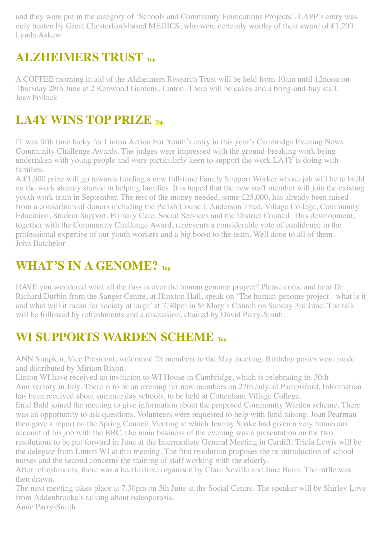and they were put in the category of 'Schools and Community Foundations Projects'. LAPP's entry was only beaten by Great Chesterford-based MEDICS, who were certainly worthy of their award of £1,200. Lynda Askew

## <span id="page-4-0"></span>**ALZHEIMERS TRUST [Top](#page-0-1)**

A COFFEE morning in aid of the Alzheimers Research Trust will be held from 10am until 12noon on Thursday 28th June at 2 Kenwood Gardens, Linton. There will be cakes and a bring-and-buy stall. Jean Pollock

# <span id="page-4-1"></span>**LA4Y WINS TOP PRIZE [Top](#page-0-1)**

IT was fifth time lucky for Linton Action For Youth's entry in this year's Cambridge Evening News Community Challenge Awards. The judges were impressed with the ground-breaking work being undertaken with young people and were particularly keen to support the work LA4Y is doing with families.

A £1,000 prize will go towards funding a new full-time Family Support Worker whose job will be to build on the work already started in helping families. It is hoped that the new staff member will join the existing youth work team in September. The rest of the money needed, some £25,000, has already been raised from a consortium of donors including the Parish Council, Anderson Trust, Village College, Community Education, Student Support, Primary Care, Social Services and the District Council. This development, together with the Community Challenge Award, represents a considerable vote of confidence in the professional expertise of our youth workers and a big boost to the team. Well done to all of them. John Batchelor

# <span id="page-4-2"></span>**WHAT'S IN A GENOME? [Top](#page-0-1)**

HAVE you wondered what all the fuss is over the human genome project? Please come and hear Dr Richard Durbin from the Sanger Centre, at Hinxton Hall, speak on 'The human genome project - what is it and what will it mean for society at large' at 7.30pm in St Mary's Church on Sunday 3rd June. The talk will be followed by refreshments and a discussion, chaired by David Parry-Smith.

# <span id="page-4-3"></span>**WI SUPPORTS WARDEN SCHEME [Top](#page-0-1)**

ANN Simpkin, Vice President, welcomed 28 members to the May meeting. Birthday posies were made and distributed by Miriam Rixon.

Linton WI have received an invitation to WI House in Cambridge, which is celebrating its 30th Anniversary in July. There is to be an evening for new members on 27th July, at Pampisford. Information has been received about summer day schools, to be held at Cottenham Village College.

Enid Bald joined the meeting to give information about the proposed Community Warden scheme. There was an opportunity to ask questions. Volunteers were requested to help with fund raising. Joan Pearman then gave a report on the Spring Council Meeting at which Jeremy Spake had given a very humorous account of his job with the BBC.The main business of the evening was a presentation on the two resolutions to be put forward in June at the Intermediate General Meeting in Cardiff. Tricia Lewis will be the delegate from Linton WI at this meeting. The first resolution proposes the re-introduction of school nurses and the second concerns the training of staff working with the elderly.

After refreshments, there was a beetle drive organised by Clare Neville and June Bunn. The raffle was then drawn.

The next meeting takes place at 7.30pm on 5th June at the Social Centre. The speaker will be Shirley Love from Addenbrooke's talking about osteoporosis. Anne Parry-Smith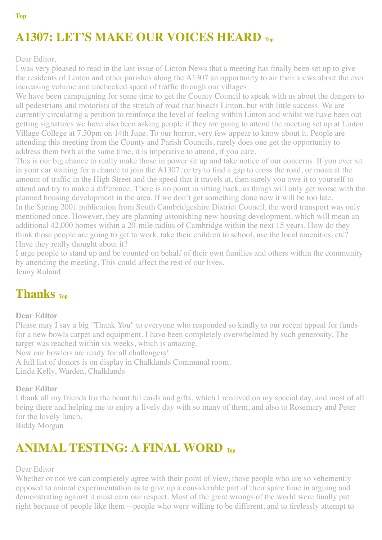# **A1307: LET'S MAKE OUR VOICES HEARD [Top](#page-0-1)**

Dear Editor,

I was very pleased to read in the last issue of Linton News that a meeting has finally been set up to give the residents of Linton and other parishes along the A1307 an opportunity to air their views about the ever increasing volume and unchecked speed of traffic through our villages.

We have been campaigning for some time to get the County Council to speak with us about the dangers to all pedestrians and motorists of the stretch of road that bisects Linton, but with little success. We are currently circulating a petition to reinforce the level of feeling within Linton and whilst we have been out getting signatures we have also been asking people if they are going to attend the meeting set up at Linton Village College at 7.30pm on 14th June. To our horror, very few appear to know about it. People are attending this meeting from the County and Parish Councils, rarely does one get the opportunity to address them both at the same time, it is imperative to attend, if you care.

This is our big chance to really make those in power sit up and take notice of our concerns. If you ever sit in your car waiting for a chance to join the A1307, or try to find a gap to cross the road, or moan at the amount of traffic in the High Street and the speed that it travels at, then surely you owe it to yourself to attend and try to make a difference. There is no point in sitting back, as things will only get worse with the planned housing development in the area. If we don't get something done now it will be too late. In the Spring 2001 publication from South Cambridgeshire District Council, the word transport was only mentioned once. However, they are planning astonishing new housing development, which will mean an additional 42,000 homes within a 20-mile radius of Cambridge within the next 15 years. How do they think those people are going to get to work, take their children to school, use the local amenities, etc?

Have they really thought about it?

I urge people to stand up and be counted on behalf of their own families and others within the community by attending the meeting. This could affect the rest of our lives. Jenny Roland

#### <span id="page-5-0"></span>**Thanks [Top](#page-0-1)**

#### **Dear Editor**

Please may I say a big "Thank You" to everyone who responded so kindly to our recent appeal for funds for a new bowls carpet and equipment. I have been completely overwhelmed by such generosity. The target was reached within six weeks, which is amazing.

Now our bowlers are ready for all challengers!

A full list of donors is on display in Chalklands Communal room.

Linda Kelly, Warden, Chalklands

#### **Dear Editor**

I thank all my friends for the beautiful cards and gifts, which I received on my special day, and most of all being there and helping me to enjoy a lively day with so many of them, and also to Rosemary and Peter for the lovely lunch.

Biddy Morgan

### <span id="page-5-1"></span>**ANIMAL TESTING: A FINAL WORD [Top](#page-0-1)**

#### Dear Editor

Whether or not we can completely agree with their point of view, those people who are so vehemently opposed to animal experimentation as to give up a considerable part of their spare time in arguing and demonstrating against it must earn our respect. Most of the great wrongs of the world were finally put right because of people like them—people who were willing to be different, and to tirelessly attempt to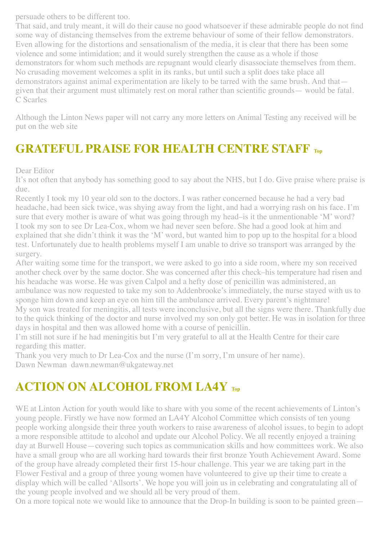persuade others to be different too.

That said, and truly meant, it will do their cause no good whatsoever if these admirable people do not find some way of distancing themselves from the extreme behaviour of some of their fellow demonstrators. Even allowing for the distortions and sensationalism of the media, it is clear that there has been some violence and some intimidation; and it would surely strengthen the cause as a whole if those demonstrators for whom such methods are repugnant would clearly disassociate themselves from them. No crusading movement welcomes a split in its ranks, but until such a split does take place all demonstrators against animal experimentation are likely to be tarred with the same brush. And that given that their argument must ultimately rest on moral rather than scientific grounds— would be fatal. C Scarles

Although the Linton News paper will not carry any more letters on Animal Testing any received will be put on the web site

# <span id="page-6-1"></span>**GRATEFUL PRAISE FOR HEALTH CENTRE STAFF [Top](#page-0-1)**

Dear Editor

It's not often that anybody has something good to say about the NHS, but I do. Give praise where praise is due.

Recently I took my 10 year old son to the doctors. I was rather concerned because he had a very bad headache, had been sick twice, was shying away from the light, and had a worrying rash on his face. I'm sure that every mother is aware of what was going through my head–is it the unmentionable 'M' word? I took my son to see Dr Lea-Cox, whom we had never seen before. She had a good look at him and explained that she didn't think it was the 'M' word, but wanted him to pop up to the hospital for a blood test. Unfortunately due to health problems myself I am unable to drive so transport was arranged by the surgery.

After waiting some time for the transport, we were asked to go into a side room, where my son received another check over by the same doctor. She was concerned after this check–his temperature had risen and his headache was worse. He was given Calpol and a hefty dose of penicillin was administered, an ambulance was now requested to take my son to Addenbrooke's immediately, the nurse stayed with us to sponge him down and keep an eye on him till the ambulance arrived. Every parent's nightmare!

My son was treated for meningitis, all tests were inconclusive, but all the signs were there. Thankfully due to the quick thinking of the doctor and nurse involved my son only got better. He was in isolation for three days in hospital and then was allowed home with a course of penicillin.

I'm still not sure if he had meningitis but I'm very grateful to all at the Health Centre for their care regarding this matter.

Thank you very much to Dr Lea-Cox and the nurse (I'm sorry, I'm unsure of her name). Dawn Newman dawn.newman@ukgateway.net

# <span id="page-6-0"></span>**ACTION ON ALCOHOL FROM LA4Y [Top](#page-0-1)**

WE at Linton Action for youth would like to share with you some of the recent achievements of Linton's young people. Firstly we have now formed an LA4Y Alcohol Committee which consists of ten young people working alongside their three youth workers to raise awareness of alcohol issues, to begin to adopt a more responsible attitude to alcohol and update our Alcohol Policy. We all recently enjoyed a training day at Burwell House—covering such topics as communication skills and how committees work. We also have a small group who are all working hard towards their first bronze Youth Achievement Award. Some of the group have already completed their first 15-hour challenge. This year we are taking part in the Flower Festival and a group of three young women have volunteered to give up their time to create a display which will be called 'Allsorts'. We hope you will join us in celebrating and congratulating all of the young people involved and we should all be very proud of them.

On a more topical note we would like to announce that the Drop-In building is soon to be painted green—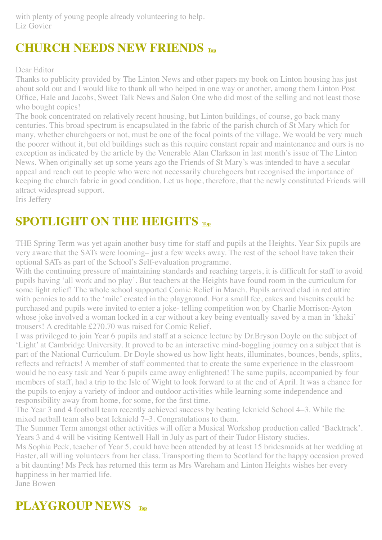with plenty of young people already volunteering to help. Liz Govier

# <span id="page-7-0"></span>**CHURCH NEEDS NEW FRIENDS [Top](#page-0-1)**

#### Dear Editor

Thanks to publicity provided by The Linton News and other papers my book on Linton housing has just about sold out and I would like to thank all who helped in one way or another, among them Linton Post Office, Hale and Jacobs, Sweet Talk News and Salon One who did most of the selling and not least those who bought copies!

The book concentrated on relatively recent housing, but Linton buildings, of course, go back many centuries. This broad spectrum is encapsulated in the fabric of the parish church of St Mary which for many, whether churchgoers or not, must be one of the focal points of the village. We would be very much the poorer without it, but old buildings such as this require constant repair and maintenance and ours is no exception as indicated by the article by the Venerable Alan Clarkson in last month's issue of The Linton News. When originally set up some years ago the Friends of St Mary's was intended to have a secular appeal and reach out to people who were not necessarily churchgoers but recognised the importance of keeping the church fabric in good condition. Let us hope, therefore, that the newly constituted Friends will attract widespread support.

Iris Jeffery

# <span id="page-7-1"></span>**SPOTLIGHT ON THE HEIGHTS TOp**

THE Spring Term was yet again another busy time for staff and pupils at the Heights. Year Six pupils are very aware that the SATs were looming– just a few weeks away. The rest of the school have taken their optional SATs as part of the School's Self-evaluation programme.

With the continuing pressure of maintaining standards and reaching targets, it is difficult for staff to avoid pupils having 'all work and no play'. But teachers at the Heights have found room in the curriculum for some light relief! The whole school supported Comic Relief in March. Pupils arrived clad in red attire with pennies to add to the 'mile' created in the playground. For a small fee, cakes and biscuits could be purchased and pupils were invited to enter a joke- telling competition won by Charlie Morrison-Ayton whose joke involved a woman locked in a car without a key being eventually saved by a man in 'khaki' trousers! A creditable £270.70 was raised for Comic Relief.

I was privileged to join Year 6 pupils and staff at a science lecture by Dr.Bryson Doyle on the subject of 'Light' at Cambridge University. It proved to be an interactive mind-boggling journey on a subject that is part of the National Curriculum. Dr Doyle showed us how light heats, illuminates, bounces, bends, splits, reflects and refracts! A member of staff commented that to create the same experience in the classroom would be no easy task and Year 6 pupils came away enlightened! The same pupils, accompanied by four members of staff, had a trip to the Isle of Wight to look forward to at the end of April. It was a chance for the pupils to enjoy a variety of indoor and outdoor activities while learning some independence and responsibility away from home, for some, for the first time.

The Year 3 and 4 football team recently achieved success by beating Icknield School 4–3. While the mixed netball team also beat Icknield 7–3. Congratulations to them.

The Summer Term amongst other activities will offer a Musical Workshop production called 'Backtrack'. Years 3 and 4 will be visiting Kentwell Hall in July as part of their Tudor History studies.

Ms Sophia Peck, teacher of Year 5, could have been attended by at least 15 bridesmaids at her wedding at Easter, all willing volunteers from her class. Transporting them to Scotland for the happy occasion proved a bit daunting! Ms Peck has returned this term as Mrs Wareham and Linton Heights wishes her every happiness in her married life.

Jane Bowen

# <span id="page-7-2"></span>**PLAYGROUP NEWS [Top](#page-0-1)**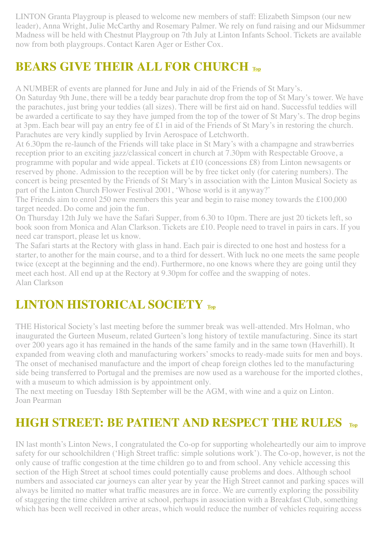LINTON Granta Playgroup is pleased to welcome new members of staff: Elizabeth Simpson (our new leader), Anna Wright, Julie McCarthy and Rosemary Palmer. We rely on fund raising and our Midsummer Madness will be held with Chestnut Playgroup on 7th July at Linton Infants School. Tickets are available now from both playgroups. Contact Karen Ager or Esther Cox.

# <span id="page-8-0"></span>**BEARS GIVE THEIR ALL FOR CHURCH [Top](#page-0-1)**

A NUMBER of events are planned for June and July in aid of the Friends of St Mary's.

On Saturday 9th June, there will be a teddy bear parachute drop from the top of St Mary's tower. We have the parachutes, just bring your teddies (all sizes). There will be first aid on hand. Successful teddies will be awarded a certificate to say they have jumped from the top of the tower of St Mary's. The drop begins at 3pm. Each bear will pay an entry fee of £1 in aid of the Friends of St Mary's in restoring the church. Parachutes are very kindly supplied by Irvin Aerospace of Letchworth.

At 6.30pm the re-launch of the Friends will take place in St Mary's with a champagne and strawberries reception prior to an exciting jazz/classical concert in church at 7.30pm with Respectable Groove, a programme with popular and wide appeal. Tickets at £10 (concessions £8) from Linton newsagents or reserved by phone. Admission to the reception will be by free ticket only (for catering numbers). The concert is being presented by the Friends of St Mary's in association with the Linton Musical Society as part of the Linton Church Flower Festival 2001, 'Whose world is it anyway?'

The Friends aim to enrol 250 new members this year and begin to raise money towards the £100,000 target needed. Do come and join the fun.

On Thursday 12th July we have the Safari Supper, from 6.30 to 10pm. There are just 20 tickets left, so book soon from Monica and Alan Clarkson. Tickets are £10. People need to travel in pairs in cars. If you need car transport, please let us know.

The Safari starts at the Rectory with glass in hand. Each pair is directed to one host and hostess for a starter, to another for the main course, and to a third for dessert. With luck no one meets the same people twice (except at the beginning and the end). Furthermore, no one knows where they are going until they meet each host. All end up at the Rectory at 9.30pm for coffee and the swapping of notes. Alan Clarkson

# <span id="page-8-1"></span>**LINTON HISTORICAL SOCIETY [Top](#page-0-1)**

THE Historical Society's last meeting before the summer break was well-attended. Mrs Holman, who inaugurated the Gurteen Museum, related Gurteen's long history of textile manufacturing. Since its start over 200 years ago it has remained in the hands of the same family and in the same town (Haverhill). It expanded from weaving cloth and manufacturing workers' smocks to ready-made suits for men and boys. The onset of mechanised manufacture and the import of cheap foreign clothes led to the manufacturing side being transferred to Portugal and the premises are now used as a warehouse for the imported clothes, with a museum to which admission is by appointment only.

The next meeting on Tuesday 18th September will be the AGM, with wine and a quiz on Linton. Joan Pearman

## <span id="page-8-2"></span>**HIGH STREET: BE PATIENT AND RESPECT THE RULES [Top](#page-0-1)**

IN last month's Linton News, I congratulated the Co-op for supporting wholeheartedly our aim to improve safety for our schoolchildren ('High Street traffic: simple solutions work'). The Co-op, however, is not the only cause of traffic congestion at the time children go to and from school. Any vehicle accessing this section of the High Street at school times could potentially cause problems and does. Although school numbers and associated car journeys can alter year by year the High Street cannot and parking spaces will always be limited no matter what traffic measures are in force. We are currently exploring the possibility of staggering the time children arrive at school, perhaps in association with a Breakfast Club, something which has been well received in other areas, which would reduce the number of vehicles requiring access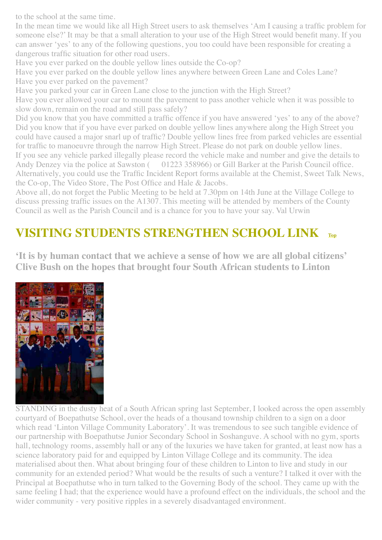to the school at the same time.

In the mean time we would like all High Street users to ask themselves 'Am I causing a traffic problem for someone else?' It may be that a small alteration to your use of the High Street would benefit many. If you can answer 'yes' to any of the following questions, you too could have been responsible for creating a dangerous traffic situation for other road users.

Have you ever parked on the double yellow lines outside the Co-op?

Have you ever parked on the double yellow lines anywhere between Green Lane and Coles Lane? Have you ever parked on the pavement?

Have you parked your car in Green Lane close to the junction with the High Street?

Have you ever allowed your car to mount the pavement to pass another vehicle when it was possible to slow down, remain on the road and still pass safely?

Did you know that you have committed a traffic offence if you have answered 'yes' to any of the above? Did you know that if you have ever parked on double yellow lines anywhere along the High Street you could have caused a major snarl up of traffic? Double yellow lines free from parked vehicles are essential for traffic to manoeuvre through the narrow High Street. Please do not park on double yellow lines. If you see any vehicle parked illegally please record the vehicle make and number and give the details to Andy Denzey via the police at Sawston ( $01223$  358966) or Gill Barker at the Parish Council office. Alternatively, you could use the Traffic Incident Report forms available at the Chemist, Sweet Talk News, the Co-op, The Video Store, The Post Office and Hale & Jacobs.

Above all, do not forget the Public Meeting to be held at 7.30pm on 14th June at the Village College to discuss pressing traffic issues on the A1307. This meeting will be attended by members of the County Council as well as the Parish Council and is a chance for you to have your say. Val Urwin

# <span id="page-9-0"></span>**VISITING STUDENTS STRENGTHEN SCHOOL LINK [Top](#page-0-1)**

**'It is by human contact that we achieve a sense of how we are all global citizens' Clive Bush on the hopes that brought four South African students to Linton**



STANDING in the dusty heat of a South African spring last September, I looked across the open assembly courtyard of Boepathutse School, over the heads of a thousand township children to a sign on a door which read 'Linton Village Community Laboratory'. It was tremendous to see such tangible evidence of our partnership with Boepathutse Junior Secondary School in Soshanguve. A school with no gym, sports hall, technology rooms, assembly hall or any of the luxuries we have taken for granted, at least now has a science laboratory paid for and equipped by Linton Village College and its community. The idea materialised about then. What about bringing four of these children to Linton to live and study in our community for an extended period? What would be the results of such a venture? I talked it over with the Principal at Boepathutse who in turn talked to the Governing Body of the school. They came up with the same feeling I had; that the experience would have a profound effect on the individuals, the school and the wider community - very positive ripples in a severely disadvantaged environment.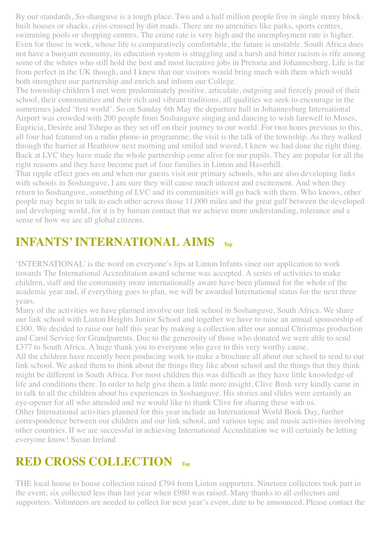By our standards, So-shanguve is a tough place. Two and a half million people live in single storey blockbuilt houses or shacks, criss-crossed by dirt roads. There are no amenities like parks, sports centres, swimming pools or shopping centres. The crime rate is very high and the unemployment rate is higher. Even for those in work, whose life is comparatively comfortable, the future is unstable. South Africa does not have a buoyant economy, its education system is struggling and a harsh and bitter racism is rife among some of the whites who still hold the best and most lucrative jobs in Pretoria and Johannesburg. Life is far from perfect in the UK though, and I knew that our visitors would bring much with them which would both strengthen our partnership and enrich and inform our College.

The township children I met were predominately positive, articulate, outgoing and fiercely proud of their school, their communities and their rich and vibrant traditions, all qualities we seek to encourage in the sometimes jaded 'first world'. So on Sunday 6th May the departure hall in Johannesburg International Airport was crowded with 200 people from Soshanguve singing and dancing to wish farewell to Moses, Eupricia, Desirée and Tshepo as they set off on their journey to our world. For two hours previous to this, all four had featured on a radio phone-in programme; the visit is the talk of the township. As they walked through the barrier at Heathrow next morning and smiled and waved, I knew we had done the right thing. Back at LVC they have made the whole partnership come alive for our pupils. They are popular for all the right reasons and they have become part of four families in Linton and Haverhill.

That ripple effect goes on and when our guests visit our primary schools, who are also developing links with schools in Soshanguve, I am sure they will cause much interest and excitement. And when they return to Soshanguve, something of LVC and its communities will go back with them. Who knows, other people may begin to talk to each other across those 11,000 miles and the great gulf between the developed and developing world, for it is by human contact that we achieve more understanding, tolerance and a sense of how we are all global citizens.

# **INFANTS' INTERNATIONAL AIMS**

'INTERNATIONAL' is the word on everyone's lips at Linton Infants since our application to work towards The International Accreditation award scheme was accepted. A series of activities to make children, staff and the community more internationally aware have been planned for the whole of the academic year and, if everything goes to plan, we will be awarded International status for the next three years.

Many of the activities we have planned involve our link school in Soshanguve, South Africa. We share our link school with Linton Heights Junior School and together we have to raise an annual sponsorship of £300. We decided to raise our half this year by making a collection after our annual Christmas production and Carol Service for Grandparents. Due to the generosity of those who donated we were able to send £377 to South Africa. A huge thank you to everyone who gave to this very worthy cause.

All the children have recently been producing work to make a brochure all about our school to send to our link school. We asked them to think about the things they like about school and the things that they think might be different in South Africa. For most children this was difficult as they have little knowledge of life and conditions there. In order to help give them a little more insight, Clive Bush very kindly came in to talk to all the children about his experiences in Soshanguve. His stories and slides were certainly an eye-opener for all who attended and we would like to thank Clive for sharing these with us. Other International activities planned for this year include an International World Book Day, further correspondence between our children and our link school, and various topic and music activities involving other countries. If we are successful in achieving International Accreditation we will certainly be letting everyone know! Susan Ireland

## <span id="page-10-0"></span>**RED CROSS COLLECTION [Top](#page-0-1)**

THE local house to house collection raised £794 from Linton supporters. Nineteen collectors took part in the event; six collected less than last year when £980 was raised. Many thanks to all collectors and supporters. Volunteers are needed to collect for next year's event, date to be announced. Please contact the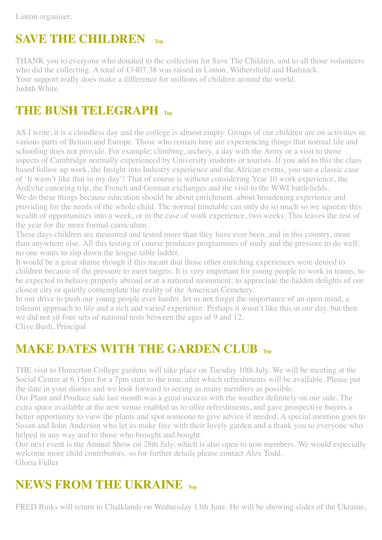Linton organiser,

# <span id="page-11-0"></span>**SAVE THE CHILDREN [Top](#page-0-1)**

THANK you to everyone who donated to the collection for Save The Children, and to all those volunteers who did the collecting. A total of £1407.38 was raised in Linton, Withersfield and Hadstock. Your support really does make a difference for millions of children around the world. Judith White

## <span id="page-11-1"></span>**THE BUSH TELEGRAPH [Top](#page-0-1)**

AS I write, it is a cloudless day and the college is almost empty. Groups of our children are on activities in various parts of Britain and Europe. Those who remain here are experiencing things that normal life and schooling does not provide. For example; climbing, archery, a day with the Army or a visit to those aspects of Cambridge normally experienced by University students or tourists. If you add to this the class based follow up work, the Insight into Industry experience and the African events, you see a classic case of 'It wasn't like that in my day'! That of course is without considering Year 10 work experience, the Ardèche canoeing trip, the French and German exchanges and the visit to the WWI battlefields. We do these things because education should be about enrichment, about broadening experience and providing for the needs of the whole child. The normal timetable can only do so much so we squeeze this wealth of opportunities into a week, or in the case of work experience, two weeks. This leaves the rest of the year for the more formal curriculum.

These days children are measured and tested more than they have ever been, and in this country, more than anywhere else. All this testing of course produces programmes of study and the pressure to do well; no one wants to slip down the league table ladder.

It would be a great shame though if this meant that those other enriching experiences were denied to children because of the pressure to meet targets. It is very important for young people to work in teams, to be expected to behave properly abroad or at a national monument; to appreciate the hidden delights of our closest city or quietly contemplate the reality of the American Cemetery.

In our drive to push our young people ever harder, let us not forget the importance of an open mind, a tolerant approach to life and a rich and varied experience. Perhaps it wasn't like this in our day, but then we did not sit four sets of national tests between the ages of 9 and 12. Clive Bush, Principal

## <span id="page-11-2"></span>**MAKE DATES WITH THE GARDEN CLUB [Top](#page-0-1)**

THE visit to Homerton College gardens will take place on Tuesday 10th July. We will be meeting at the Social Centre at 6.15pm for a 7pm start to the tour, after which refreshments will be available. Please put the date in your diaries and we look forward to seeing as many members as possible.

Our Plant and Produce sale last month was a great success with the weather definitely on our side. The extra space available at the new venue enabled us to offer refreshments, and gave prospective buyers a better opportunity to view the plants and spot someone to give advice if needed. A special mention goes to Susan and John Anderson who let us make free with their lovely garden and a thank you to everyone who helped in any way and to those who brought and bought.

Our next event is the Annual Show on 28th July, which is also open to non-members. We would especially welcome more child contributors, so for further details please contact Alex Todd. Gloria Fidler

## <span id="page-11-3"></span>**NEWS FROM THE UKRAINE [Top](#page-0-1)**

FRED Binks will return to Chalklands on Wednesday 13th June. He will be showing slides of the Ukraine,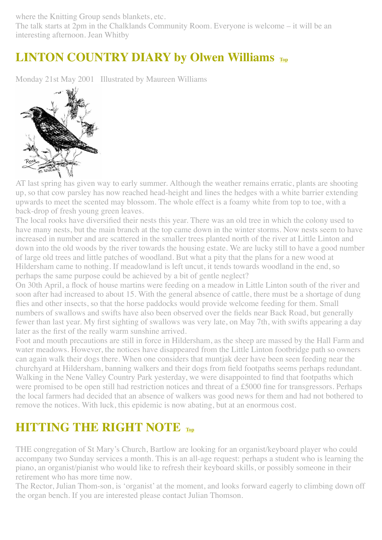where the Knitting Group sends blankets, etc.

The talk starts at 2pm in the Chalklands Community Room. Everyone is welcome – it will be an interesting afternoon. Jean Whitby

# <span id="page-12-0"></span>**LINTON COUNTRY DIARY by Olwen Williams [Top](#page-0-1)**

Monday 21st May 2001 Illustrated by Maureen Williams



AT last spring has given way to early summer. Although the weather remains erratic, plants are shooting up, so that cow parsley has now reached head-height and lines the hedges with a white barrier extending upwards to meet the scented may blossom. The whole effect is a foamy white from top to toe, with a back-drop of fresh young green leaves.

The local rooks have diversified their nests this year. There was an old tree in which the colony used to have many nests, but the main branch at the top came down in the winter storms. Now nests seem to have increased in number and are scattered in the smaller trees planted north of the river at Little Linton and down into the old woods by the river towards the housing estate. We are lucky still to have a good number of large old trees and little patches of woodland. But what a pity that the plans for a new wood at Hildersham came to nothing. If meadowland is left uncut, it tends towards woodland in the end, so perhaps the same purpose could be achieved by a bit of gentle neglect?

On 30th April, a flock of house martins were feeding on a meadow in Little Linton south of the river and soon after had increased to about 15. With the general absence of cattle, there must be a shortage of dung flies and other insects, so that the horse paddocks would provide welcome feeding for them. Small numbers of swallows and swifts have also been observed over the fields near Back Road, but generally fewer than last year. My first sighting of swallows was very late, on May 7th, with swifts appearing a day later as the first of the really warm sunshine arrived.

Foot and mouth precautions are still in force in Hildersham, as the sheep are massed by the Hall Farm and water meadows. However, the notices have disappeared from the Little Linton footbridge path so owners can again walk their dogs there. When one considers that muntjak deer have been seen feeding near the churchyard at Hildersham, banning walkers and their dogs from field footpaths seems perhaps redundant. Walking in the Nene Valley Country Park yesterday, we were disappointed to find that footpaths which were promised to be open still had restriction notices and threat of a £5000 fine for transgressors. Perhaps the local farmers had decided that an absence of walkers was good news for them and had not bothered to remove the notices. With luck, this epidemic is now abating, but at an enormous cost.

# <span id="page-12-1"></span>**HITTING THE RIGHT NOTE [Top](#page-0-1)**

THE congregation of St Mary's Church, Bartlow are looking for an organist/keyboard player who could accompany two Sunday services a month. This is an all-age request: perhaps a student who is learning the piano, an organist/pianist who would like to refresh their keyboard skills, or possibly someone in their retirement who has more time now.

The Rector, Julian Thom-son, is 'organist' at the moment, and looks forward eagerly to climbing down off the organ bench. If you are interested please contact Julian Thomson.